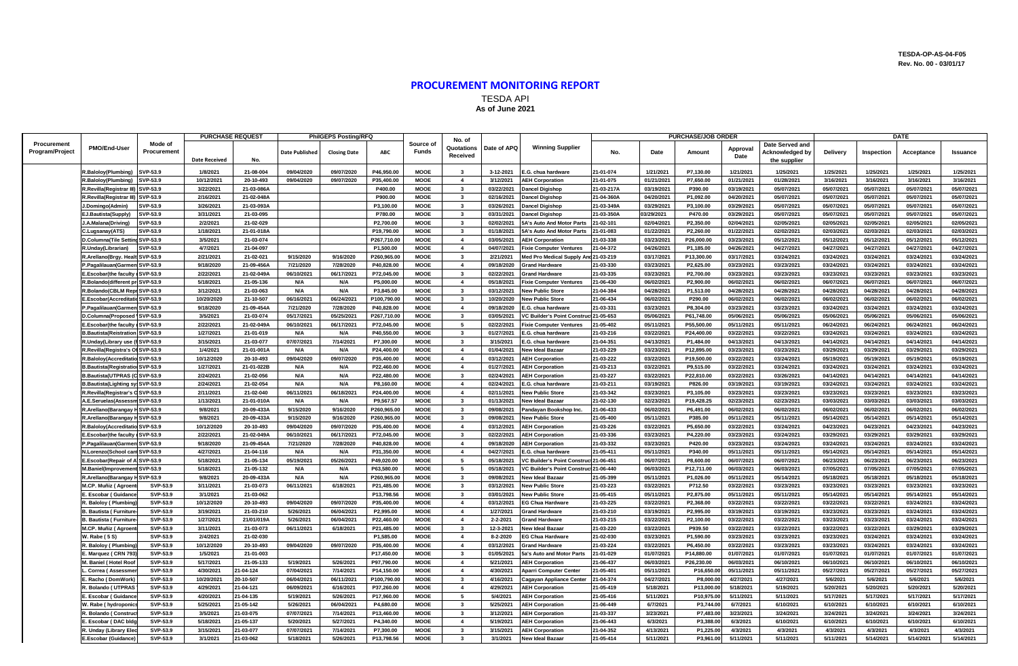## **TESDA-OP-AS-04-F05 Rev. No. 00 - 03/01/17**

## **PROCUREMENT MONITORING REPORT** TESDA API **As of June 2021**

|                                | PMO/End-User                       | Mode of<br>Procurement | <b>PURCHASE REQUEST</b> |            | <b>PhilGEPS Posting/RFQ</b> |                     |             |                           | No. of                  |             | <b>PURCHASE/JOB ORDER</b>              |            |            |            |                  | DATE                                                      |            |            |            |            |
|--------------------------------|------------------------------------|------------------------|-------------------------|------------|-----------------------------|---------------------|-------------|---------------------------|-------------------------|-------------|----------------------------------------|------------|------------|------------|------------------|-----------------------------------------------------------|------------|------------|------------|------------|
| Procurement<br>Program/Project |                                    |                        | <b>Date Received</b>    | No.        | Date Published              | <b>Closing Date</b> | ABC         | Source of<br><b>Funds</b> | Quotations<br>Received  | Date of APQ | <b>Winning Supplier</b>                | No.        | Date       | Amount     | Approval<br>Date | Date Served and<br><b>Acknowledged by</b><br>the supplier | Delivery   | Inspection | Acceptance | Issuance   |
|                                | R.Baloloy(Plumbing)                | SVP-53.9               | 1/8/2021                | 21-08-004  | 09/04/2020                  | 09/07/2020          | P46,950.00  | <b>MOOE</b>               | $\mathbf{3}$            | 3-12-2021   | .G. chua hardware                      | 21-01-074  | 1/21/2021  | P7,130.00  | 1/21/2021        | 1/25/2021                                                 | 1/25/2021  | 1/25/2021  | 1/25/2021  | 1/25/2021  |
|                                | R.Baloloy(Plumbing)                | SVP-53.9               | 10/12/2021              | 20-10-493  | 09/04/2020                  | 09/07/2020          | P35,400.00  | <b>MOOE</b>               | $\overline{4}$          | 3/12/2021   | <b>AEH Corporation</b>                 | 21-01-075  | 01/21/2021 | P7,650.00  | 01/21/2021       | 01/28/2021                                                | 3/16/2021  | 3/16/2021  | 3/16/2021  | 3/16/2021  |
|                                | <b>Revilla</b> (Registrar III      | SVP-53.9               | 3/22/2021               | 21-03-086A |                             |                     | P400.00     | <b>MOOE</b>               | $\mathbf{3}$            | 03/22/2021  | Dancel Digishop                        | 21-03-217A | 03/19/2021 | P390.00    | 03/19/2021       | 05/07/2021                                                | 05/07/2021 | 05/07/2021 | 05/07/2021 | 05/07/2021 |
|                                | Revilla(Registrar III)             | SVP-53.9               | 2/16/2021               | 21-02-048A |                             |                     | P900.00     | <b>MOOE</b>               | $\mathbf{3}$            | 02/16/2021  | <b>Dancel Digishop</b>                 | 21-04-360A | 04/20/2021 | P1,092.00  | 04/20/2021       | 05/07/2021                                                | 05/07/2021 | 05/07/2021 | 05/07/2021 | 05/07/2021 |
|                                | .Domingo(Admin)                    | SVP-53.9               | 3/26/2021               | 21-03-093A |                             |                     | P3,100.00   | <b>MOOE</b>               | $\overline{\mathbf{3}}$ | 03/26/2021  | Dancel Digishop                        | 21-03-349A | 03/29/2021 | P3,100.00  | 03/29/2021       | 05/07/2021                                                | 05/07/2021 | 05/07/2021 | 05/07/2021 | 05/07/2021 |
|                                | J.Bautista(Supply)                 | SVP-53.9               | 3/31/2021               | 21-03-095  |                             |                     | P780.00     | <b>MOOE</b>               | $\overline{\mathbf{3}}$ | 03/31/2021  | Dancel Digishop                        | 21-03-350A | 03/29/2021 | P470.00    | 03/29/2021       | 05/07/2021                                                | 05/07/2021 | 05/07/2021 | 05/07/2021 | 05/07/2021 |
|                                | A.Malana(Driving)                  | SVP-53.9               | 2/2/2021                | 21-02-029  |                             |                     | P2,700.00   | <b>MOOE</b>               | $\mathbf{3}$            | 02/02/2021  | 5A's Auto And Motor Parts              | 1-02-101   | 02/04/202  | P2,350.00  | 02/04/2021       | 02/05/2021                                                | 02/05/2021 | 02/05/2021 | 02/05/2021 | 02/05/2021 |
|                                | .Lugsanay(ATS)                     | SVP-53.9               | 1/18/2021               | 21-01-018A |                             |                     | P19,790.00  | <b>MOOE</b>               | $\overline{\mathbf{3}}$ | 01/18/2021  | 5A's Auto And Motor Parts              | 1-01-083   | 01/22/2021 | P2,260.00  | 01/22/2021       | 02/02/2021                                                | 02/03/2021 | 02/03/2021 | 02/03/2021 | 02/03/2021 |
|                                | D.Columna(Tile Settin              | SVP-53.9               | 3/5/2021                | 21-03-074  |                             |                     | P267,710.00 | <b>MOOE</b>               | $\overline{4}$          | 03/05/2021  | <b>AEH Corporation</b>                 | 1-03-338   | 03/23/2021 | P26,000.00 | 03/23/2021       | 05/12/2021                                                | 05/12/2021 | 05/12/2021 | 05/12/2021 | 05/12/2021 |
|                                | <b>R.Unday(Librarian)</b>          | SVP-53.9               | 4/7/2021                | 21-04-097  |                             |                     | P1,500.00   | <b>MOOE</b>               | $\overline{4}$          | 04/07/2021  | ixie Computer Ventures                 | 1-04-372   | 04/26/2021 | P1,185.00  | 04/26/2021       | 04/27/2021                                                | 04/27/2021 | 04/27/2021 | 04/27/2021 | 04/27/2021 |
|                                | Arellano(Brgy. Healt SVP-53.9      |                        | 2/21/2021               | 21-02-021  | 9/15/2020                   | 9/16/2020           | P260,965.00 | <b>MOOE</b>               | $\mathbf{3}$            | 2/21/2021   | Med Pro Medical Supply An              | 21-03-219  | 03/17/2021 | P13,300.00 | 03/17/2021       | 03/24/2021                                                | 03/24/2021 | 03/24/2021 | 03/24/2021 | 03/24/2021 |
|                                | P.Pagalilauan(Garmen SVP-53.9      |                        | 9/18/2020               | 21-09-456A | 7/21/2020                   | 7/28/2020           | P40,828.00  | <b>MOOE</b>               | $\overline{4}$          | 09/18/2020  | <b>Grand Hardware</b>                  | 21-03-330  | 03/23/2021 | P2,625.00  | 03/23/2021       | 03/23/2021                                                | 03/24/2021 | 03/24/2021 | 03/24/2021 | 03/24/2021 |
|                                | .Escobar(the faculty & SVP-53.9    |                        | 2/22/2021               | 21-02-049A | 06/10/2021                  | 06/17/2021          | P72,045.00  | <b>MOOE</b>               | $\mathbf{3}$            | 02/22/2021  | <b>Grand Hardware</b>                  | 21-03-335  | 03/23/2021 | P2,700.00  | 03/23/2021       | 03/23/2021                                                | 03/23/2021 | 03/23/2021 | 03/23/2021 | 03/23/2021 |
|                                | .Bolando(different pr              | SVP-53.9               | 5/18/2021               | 21-05-136  | N/A                         | N/A                 | P5,000.00   | <b>MOOE</b>               | $\overline{4}$          | 05/18/2021  | ixie Computer Ventures                 | 1-06-430   | 06/02/2021 | P2,900.00  | 06/02/2021       | 06/02/2021                                                | 06/07/2021 | 06/07/2021 | 06/07/2021 | 06/07/2021 |
|                                | Bolando (CBLM Repr SVP-53.9        |                        | 3/12/202                | 21-03-063  | N/A                         | N/A                 | P3,845.00   | <b>MOOE</b>               | $\overline{\mathbf{3}}$ | 03/12/2021  | <b>New Public Store</b>                | 1-04-384   | 04/28/2021 | P1,513.00  | 04/28/2021       | 04/28/2021                                                | 04/28/2021 | 04/28/2021 | 04/28/2021 | 04/28/2021 |
|                                | Escobar(Accreditatic SVP-53.9      |                        | 10/20/2020              | 21-10-507  | 06/16/2021                  | 06/24/2021          | P100,790.00 | <b>MOOE</b>               | $\mathbf{3}$            | 10/20/2020  | <b>New Public Store</b>                | 21-06-434  | 06/02/2021 | P290.00    | 06/02/2021       | 06/02/2021                                                | 06/02/2021 | 06/02/2021 | 06/02/2021 | 06/02/2021 |
|                                |                                    |                        | 9/18/2020               | 21-09-454A | 7/21/2020                   | 7/28/2020           | P40,828.00  | <b>MOOE</b>               |                         | 09/18/2020  |                                        | 21-03-331  | 03/23/2021 | P8,304.00  | 03/23/2021       | 03/23/2021                                                | 03/24/2021 | 03/24/2021 | 03/24/2021 | 03/24/2021 |
|                                | Pagalilauan(Garmen SVP-53.9        |                        |                         |            |                             |                     |             |                           | $\overline{4}$          |             | E.G. chua hardware                     |            |            |            |                  |                                                           |            |            |            |            |
|                                | Columna(Proposed                   | SVP-53.9               | 3/5/2021                | 21-03-074  | 05/17/2021                  | 05/25/2021          | P267,710.00 | <b>MOOE</b>               | $\overline{\mathbf{3}}$ | 03/05/2021  | 'C Builder's Point Constru             | 21-05-653  | 05/06/2021 | P61,748.00 | 05/06/2021       | 05/06/2021                                                | 05/06/2021 | 05/06/2021 | 05/06/2021 | 05/06/2021 |
|                                | Escobar(the faculty                | SVP-53.9               | 2/22/2021               | 21-02-049A | 06/10/2021                  | 06/17/2021          | P72,045.00  | <b>MOOE</b>               | 5                       | 02/22/2021  | ixie Computer Ventures                 | 1-05-402   | 05/11/2021 | P55,500.00 | 05/11/2021       | 05/11/2021                                                | 06/24/2021 | 06/24/2021 | 06/24/2021 | 06/24/2021 |
|                                | .Bautista(Reistration              | SVP-53.9               | 1/27/202                | 21-01-019  | N/A                         | N/A                 | P40,550.00  | <b>MOOE</b>               | $\mathbf{3}$            | 01/27/2021  | .G. chua hardware                      | 1-03-216   | 03/22/2021 | P24,400.00 | 03/22/2021       | 03/22/2021                                                | 03/24/2021 | 03/24/2021 | 03/24/2021 | 03/24/2021 |
|                                | .Unday(Library use (f SVP-53.9     |                        | 3/15/2021               | 21-03-077  | 07/07/2021                  | 7/14/2021           | P7,300.00   | <b>MOOE</b>               | $\overline{\mathbf{3}}$ | 3/15/2021   | G. chua hardware.                      | 21-04-351  | 04/13/2021 | P1,484.00  | 04/13/2021       | 04/13/2021                                                | 04/14/2021 | 04/14/2021 | 04/14/2021 | 04/14/2021 |
|                                | .Revilla(Registra's Of             | SVP-53.9               | 1/4/2021                | 21-01-001A | N/A                         | N/A                 | P24,400.00  | <b>MOOE</b>               | $\overline{4}$          | 01/04/2021  | <b>Vew Ideal Bazaar</b>                | 21-03-229  | 03/23/2021 | P12,895.00 | 03/23/2021       | 03/23/2021                                                | 03/29/2021 | 03/29/2021 | 03/29/2021 | 03/29/2021 |
|                                | .Baloloy(Accreditatio SVP-53.9     |                        | 10/12/2020              | 20-10-493  | 09/04/2020                  | 09/07/2020          | P35,400.00  | <b>MOOE</b>               | $\overline{4}$          | 03/12/2021  | <b>AEH Corporation</b>                 | 21-03-222  | 03/22/2021 | P19,500.00 | 03/22/2021       | 03/24/2021                                                | 05/19/2021 | 05/19/2021 | 05/19/2021 | 05/19/2021 |
|                                | 3. Bautista (Registration SVP-53.9 |                        | 1/27/202                | 21-01-022B | N/A                         | N/A                 | P22,460.00  | <b>MOOE</b>               | $\overline{4}$          | 01/27/2021  | <b>AEH Corporation</b>                 | 21-03-213  | 03/22/202  | P9,515.00  | 03/22/2021       | 03/24/2021                                                | 03/24/2021 | 03/24/2021 | 03/24/2021 | 03/24/2021 |
|                                | 3.Bautista(UTPRAS (C SVP-53.9      |                        | 2/24/2021               | 21-02-056  | N/A                         | N/A                 | P22,480.00  | <b>MOOE</b>               | $\mathbf{3}$            | 02/24/2021  | <b>AEH Corporation</b>                 | 21-03-227  | 03/22/2021 | P22,810.00 | 03/22/2021       | 03/26/2021                                                | 04/14/2021 | 04/14/2021 | 04/14/2021 | 04/14/2021 |
|                                | <b>B.Bautista</b> (Lighting st     | SVP-53.9               | 2/24/2021               | 21-02-054  | N/A                         | N/A                 | P8,160.00   | <b>MOOE</b>               | $\overline{4}$          | 02/24/2021  | E.G. chua hardware                     | 21-03-211  | 03/19/2021 | P826.00    | 03/19/2021       | 03/19/2021                                                | 03/24/2021 | 03/24/2021 | 03/24/2021 | 03/24/2021 |
|                                | .Revilla(Registrar's C             | SVP-53.9               | 2/11/2021               | 21-02-040  | 06/11/2021                  | 06/18/2021          | P24,400.00  | <b>MOOE</b>               | $\overline{4}$          | 02/11/2021  | <b>New Public Store</b>                | 21-03-342  | 03/23/2021 | P3,105.00  | 03/23/2021       | 03/23/2021                                                | 03/23/2021 | 03/23/2021 | 03/23/2021 | 03/23/2021 |
|                                | A.E.Seruelas(Assessm SVP-53.9      |                        | 1/13/202                | 21-01-010A | N/A                         | N/A                 | P9,567.57   | <b>MOOE</b>               | $\overline{\mathbf{3}}$ | 01/13/2021  | New Ideal Bazaar                       | 21-02-130  | 02/23/2021 | P19,428.25 | 02/23/2021       | 02/23/2021                                                | 03/03/2021 | 03/03/2021 | 03/03/2021 | 03/03/2021 |
|                                | Arellano(Barangay I                | SVP-53.9               | 9/8/2021                | 20-09-433A | 9/15/2020                   | 9/16/2020           | P260,965.00 | <b>MOOE</b>               | $\overline{\mathbf{3}}$ | 09/08/2021  | Pandayan Bookshop Inc.                 | 1-06-433   | 06/02/2021 | P6,491.00  | 06/02/2021       | 06/02/2021                                                | 06/02/2021 | 06/02/2021 | 06/02/2021 | 06/02/2021 |
|                                | .Arellano(Barangay                 | SVP-53.9               | 9/8/2021                | 20-09-433A | 9/15/2020                   | 9/16/2020           | P260,965.00 | <b>MOOE</b>               | $\overline{\mathbf{3}}$ | 09/08/2021  | <b>New Public Store</b>                | 21-05-400  | 05/11/2021 | P385.00    | 05/11/2021       | 05/11/2021                                                | 05/14/2021 | 05/14/2021 | 05/14/2021 | 05/14/2021 |
|                                | Baloloy(Accreditatio SVP-53.9      |                        | 10/12/2020              | 20-10-493  | 09/04/2020                  | 09/07/2020          | P35,400.00  | <b>MOOE</b>               | $\overline{4}$          | 03/12/2021  | <b>AEH Corporation</b>                 | 21-03-226  | 03/22/2021 | P5.650.00  | 03/22/2021       | 03/24/2021                                                | 04/23/2021 | 04/23/2021 | 04/23/2021 | 04/23/2021 |
|                                | E.Scobar(the faculty               | SVP-53.9               | 2/22/2021               | 21-02-049A | 06/10/2021                  | 06/17/2021          | P72,045.00  | <b>MOOE</b>               | $\overline{\mathbf{3}}$ | 02/22/2021  | <b>AEH Corporation</b>                 | 21-03-336  | 03/23/202  | P4,220.00  | 03/23/2021       | 03/24/2021                                                | 03/29/2021 | 03/29/2021 | 03/29/2021 | 03/29/2021 |
|                                | Pagalilauan(Garmen SVP-53.9        |                        | 9/18/2020               | 21-09-454A | 7/21/2020                   | 7/28/2020           | P40,828.00  | <b>MOOE</b>               | $\overline{4}$          | 09/18/2020  | <b>AEH Corporation</b>                 | 21-03-332  | 03/23/2021 | P420.00    | 03/23/2021       | 03/24/2021                                                | 03/24/2021 | 03/24/2021 | 03/24/2021 | 03/24/2021 |
|                                | N.Lorenzo(School cant SVP-53.9     |                        | 4/27/2021               | 21-04-116  | N/A                         | N/A                 | P31,350.00  | <b>MOOE</b>               | $\overline{4}$          | 04/27/2021  | E.G. chua hardware                     | 21-05-411  | 05/11/2021 | P340.00    | 05/11/2021       | 05/11/2021                                                | 05/14/2021 | 05/14/2021 | 05/14/2021 | 05/14/2021 |
|                                | Escobar(Repair of A SVP-53.9       |                        | 5/18/2021               | 21-05-134  | 05/19/2021                  | 05/26/2021          | P49,020.00  | <b>MOOE</b>               | -5                      | 05/18/2021  | /C Builder's Point Construct 21-06-451 |            | 06/07/2021 | P8.600.00  | 06/07/2021       | 06/07/2021                                                | 06/23/2021 | 06/23/2021 | 06/23/2021 | 06/23/2021 |
|                                | M.Baniel(Improvemer                | SVP-53.9               | 5/18/202                | 21-05-132  | N/A                         | N/A                 | P63,580.00  | <b>MOOE</b>               | 5                       | 05/18/2021  | VC Builder's Point Construct 21-06-440 |            | 06/03/2021 | P12,711.00 | 06/03/2021       | 06/03/2021                                                | 07/05/2021 | 07/05/2021 | 07/05/2021 | 07/05/2021 |
|                                | Arellano(Barangay H SVP-53.9       |                        | 9/8/2021                | 20-09-433A | N/A                         | N/A                 | P260,965.00 | <b>MOOE</b>               | $\overline{\mathbf{3}}$ | 09/08/2021  | New Ideal Bazaar                       | 21-05-399  | 05/11/2021 | P1.026.00  | 05/11/2021       | 05/14/2021                                                | 05/18/2021 | 05/18/2021 | 05/18/2021 | 05/18/2021 |
|                                | M.CP. Muñiz (Agroent               | SVP-53.9               | 3/11/2021               | 21-03-073  | 06/11/2021                  | 6/18/2021           | P21,485.00  | <b>MOOE</b>               | $\overline{\mathbf{3}}$ | 03/12/2021  | <b>New Public Store</b>                | 21-03-223  | 03/22/2021 | P712.50    | 03/22/2021       | 03/23/2021                                                | 03/23/2021 | 03/23/2021 | 03/23/2021 | 03/23/2021 |
|                                | Escobar (Guidance                  | SVP-53.9               | 3/1/2021                | 21-03-062  |                             |                     | P13,798.56  | <b>MOOE</b>               | $\overline{\mathbf{3}}$ | 03/01/2021  | <b>New Public Store</b>                | 21-05-415  | 05/11/2021 | P2.875.00  | 05/11/2021       | 05/11/2021                                                | 05/14/2021 | 05/14/2021 | 05/14/2021 | 05/14/2021 |
|                                | <b>Baloloy (Plumbing</b>           | SVP-53.9               | 10/12/2020              | 20-10-493  | 09/04/2020                  | 09/07/2020          | P35,400.00  | <b>MOOE</b>               | $\overline{4}$          | 03/12/2021  | EG Chua Hardware                       | 21-03-225  | 03/22/2021 | P2,368.00  | 03/22/2021       | 03/22/2021                                                | 03/22/2021 | 03/22/2021 | 03/24/2021 | 03/24/2021 |
|                                | <b>Bautista (Furniture</b>         | SVP-53.9               | 3/19/2021               | 21-03-210  | 5/26/2021                   | 06/04/2021          | P2,995.00   | <b>MOOE</b>               | $\overline{4}$          | 1/27/2021   | <b>Grand Hardware</b>                  | 21-03-210  | 03/19/2021 | P2,995.00  | 03/19/2021       | 03/19/2021                                                | 03/23/2021 | 03/23/2021 | 03/24/2021 | 03/24/2021 |
|                                | <b>Bautista (Furniture</b>         | SVP-53.9               | 1/27/2021               | 21/01/019A | 5/26/2021                   | 06/04/2021          | P22,460.00  | <b>MOOE</b>               | $\overline{4}$          | 2-2-2021    | <b>Grand Hardware</b>                  | 21-03-215  | 03/22/2021 | P2,100.00  | 03/22/2021       | 03/22/2021                                                | 03/23/2021 | 03/23/2021 | 03/24/2021 | 03/24/2021 |
|                                | M.CP. Muñiz (Agroent               | SVP-53.9               | 3/11/2021               | 21-03-073  | 06/11/2021                  | 6/18/2021           | P21,485.00  | <b>MOOE</b>               | $\mathbf{3}$            | 12-3-2021   | New Ideal Bazaar                       | 21-03-220  | 03/22/2021 | P939.50    | 03/22/2021       | 03/22/2021                                                | 03/22/2021 | 03/22/2021 | 03/29/2021 | 03/29/2021 |
|                                | V. Rabe (5S)                       | SVP-53.9               | 2/4/2021                | 21-02-030  |                             |                     | P1.585.00   | <b>MOOE</b>               | $\overline{4}$          | 8-2-2020    | <b>EG Chua Hardware</b>                | 21-02-030  | 03/23/2021 | P1.590.00  | 03/23/2021       | 03/23/2021                                                | 03/23/2021 | 03/24/2021 | 03/24/2021 | 03/24/2021 |
|                                | <b>Balolov (Plumbing</b>           | SVP-53.9               | 10/12/2020              | 20-10-493  | 09/04/2020                  | 09/07/2020          | P35.400.00  | <b>MOOE</b>               | $\overline{4}$          | 03/12/2021  | <b>Grand Hardware</b>                  | 21-03-224  | 03/22/2021 | P6.450.00  | 03/22/2021       | 03/23/2021                                                | 03/23/2021 | 03/24/2021 | 03/24/2021 | 03/24/2021 |
|                                | Marquez (CRN 793                   | SVP-53.9               | 1/5/2021                | 21-01-003  |                             |                     | P17,450.00  | <b>MOOE</b>               | $\overline{\mathbf{3}}$ | 01/05/2021  | 5a's Auto and Motor Parts              | 1-01-029   | 01/07/2021 | P14.880.00 | 01/07/2021       | 01/07/2021                                                | 01/07/2021 | 01/07/2021 | 01/07/2021 | 01/07/2021 |
|                                | <b>VI. Baniel (Hotel Roo</b>       | SVP-53.9               | 5/17/2021               | 21-05-133  | 5/19/2021                   | 5/26/2021           | P97,790.00  | <b>MOOE</b>               | $\overline{4}$          | 5/21/2021   | <b>AEH Corporation</b>                 | 1-06-437   | 06/03/2021 | P26,230.00 | 06/03/2021       | 06/10/2021                                                | 06/10/2021 | 06/10/2021 | 06/10/2021 | 06/10/2021 |
|                                | Correa (Assessme                   | SVP-53.9               | 4/30/2021               | 21-04-124  | 07/04/2021                  | 7/14/2021           | P14,150.00  | <b>MOOE</b>               | $\overline{4}$          | 4/30/2021   | <b>Aparri Computer Center</b>          | 1-05-401   | 05/11/2021 | P16,650.00 | 05/11/2021       | 05/11/2021                                                | 05/27/2021 | 05/27/2021 | 05/27/2021 | 05/27/2021 |
|                                | Racho (DomWork                     | SVP-53.9               | 10/20/2021              | 20-10-507  | 06/04/2021                  | 06/11/2021          | P100,790.00 | <b>MOOE</b>               | $\mathbf{3}$            | 4/16/2021   | Cagayan Appliance Center               | 1-04-374   | 04/27/2021 | P8,000.00  | 4/27/2021        | 4/27/2021                                                 | 5/6/2021   | 5/6/2021   | 5/6/2021   | 5/6/2021   |
|                                | <b>Bolando (UTPRAS</b>             | SVP-53.9               | 4/29/2021               | 21-04-121  | 06/09/2021                  | 6/16/2021           | P37,260.00  | <b>MOOE</b>               | $\overline{4}$          | 4/29/2021   | <b>AEH Corporation</b>                 | 21-05-419  | 5/18/2021  | P13,000.00 | 5/18/2021        | 5/19/2021                                                 | 5/20/2021  | 5/20/2021  | 5/20/2021  | 5/20/2021  |
|                                | Escobar (Guidance                  | SVP-53.9               | 4/20/2021               | 21-04-135  | 5/19/2021                   | 5/26/2021           | P17,960.00  | <b>MOOE</b>               | 5                       | 5/4/2021    | <b>AEH Corporation</b>                 | 21-05-416  | 5/11/2021  | P10,975.00 | 5/11/2021        | 5/11/2021                                                 | 5/17/2021  | 5/17/2021  | 5/17/2021  | 5/17/2021  |
|                                | . Rabe (hydroponi                  | SVP-53.9               | 5/25/2021               | 21-05-142  | 5/26/2021                   | 06/04/2021          | P4,680.00   | <b>MOOE</b>               | $\mathbf{3}$            | 5/25/2021   | <b>AEH Corporation</b>                 | 21-06-449  | 6/7/2021   | P3,744.00  | 6/7/2021         | 6/10/2021                                                 | 6/10/2021  | 6/10/2021  | 6/10/2021  | 6/10/2021  |
|                                | <b>Bolando (Constru</b>            | SVP-53.9               | 3/5/2021                | 21-03-075  | 07/07/2021                  | 7/14/2021           | P13.460.00  | <b>MOOE</b>               | $\overline{\mathbf{3}}$ | 3/12/2021   | <b>AEH Corporation</b>                 | 21-03-337  | 3/23/2021  | P7,483.00  | 3/23/2021        | 3/24/2021                                                 | 3/24/2021  | 3/24/2021  | 3/24/2021  | 3/24/2021  |
|                                | Escobar (DAC bld                   | SVP-53.9               | 5/18/2021               | 21-05-137  | 5/20/2021                   | 5/27/2021           | P4,340.00   | <b>MOOE</b>               | $\overline{4}$          | 5/19/2021   | <b>AEH Corporation</b>                 | 1-06-443   | 6/3/2021   | P3.388.00  | 6/3/2021         | 6/10/2021                                                 | 6/10/2021  | 6/10/2021  | 6/10/2021  | 6/10/2021  |
|                                | <b>Unday (Library Ele</b>          | SVP-53.9               | 3/15/2021               | 21-03-077  | 07/07/2021                  | 7/14/2021           | P7.300.00   | <b>MOOE</b>               | $\overline{\mathbf{3}}$ | 3/15/2021   | <b>AEH Corporation</b>                 | 21-04-352  | 4/13/2021  | P1.225.00  | 4/3/2021         | 4/3/2021                                                  | 4/3/2021   | 4/3/2021   | 4/3/2021   | 4/3/2021   |
|                                | .Escobar (Guidance                 | SVP-53.9               | 3/1/2021                | 21-03-062  | 5/18/2021                   | 5/26/2021           | P13,798.56  | <b>MOOE</b>               | $\mathbf{3}$            | 3/1/2021    | New Ideal Bazaar                       | 21-05-414  | 5/11/2021  | P3,961.00  | 5/11/2021        | 5/11/2021                                                 | 5/11/2021  | 5/14/2021  | 5/14/2021  | 5/14/2021  |
|                                |                                    |                        |                         |            |                             |                     |             |                           |                         |             |                                        |            |            |            |                  |                                                           |            |            |            |            |